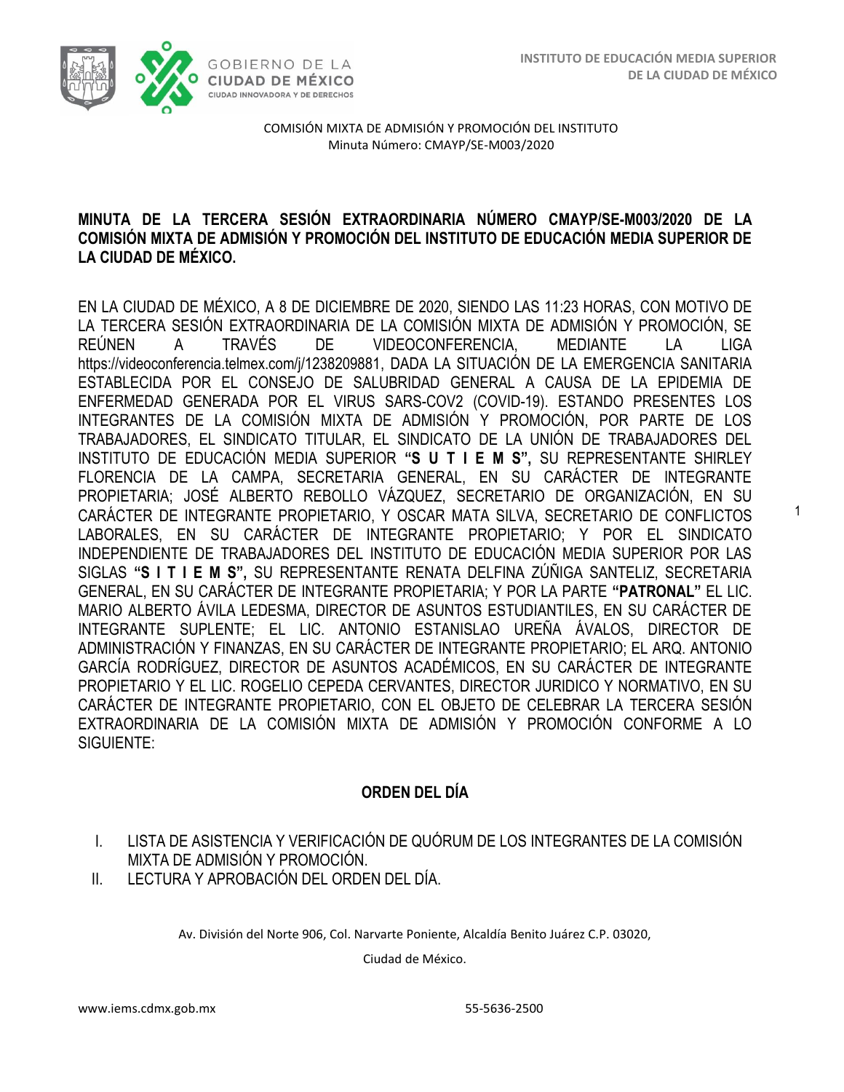1



COMISIÓN MIXTA DE ADMISIÓN Y PROMOCIÓN DEL INSTITUTO Minuta Número: CMAYP/SE-M003/2020

### **MINUTA DE LA TERCERA SESIÓN EXTRAORDINARIA NÚMERO CMAYP/SE-M003/2020 DE LA COMISIÓN MIXTA DE ADMISIÓN Y PROMOCIÓN DEL INSTITUTO DE EDUCACIÓN MEDIA SUPERIOR DE LA CIUDAD DE MÉXICO.**

EN LA CIUDAD DE MÉXICO, A 8 DE DICIEMBRE DE 2020, SIENDO LAS 11:23 HORAS, CON MOTIVO DE LA TERCERA SESIÓN EXTRAORDINARIA DE LA COMISIÓN MIXTA DE ADMISIÓN Y PROMOCIÓN, SE REÚNEN A TRAVÉS DE VIDEOCONFERENCIA, MEDIANTE LA LIGA [https://videoconferencia.telmex.com/j/1238209881,](https://videoconferencia.telmex.com/j/1238209881) DADA LA SITUACIÓN DE LA EMERGENCIA SANITARIA ESTABLECIDA POR EL CONSEJO DE SALUBRIDAD GENERAL A CAUSA DE LA EPIDEMIA DE ENFERMEDAD GENERADA POR EL VIRUS SARS-COV2 (COVID-19). ESTANDO PRESENTES LOS INTEGRANTES DE LA COMISIÓN MIXTA DE ADMISIÓN Y PROMOCIÓN, POR PARTE DE LOS TRABAJADORES, EL SINDICATO TITULAR, EL SINDICATO DE LA UNIÓN DE TRABAJADORES DEL INSTITUTO DE EDUCACIÓN MEDIA SUPERIOR **"S U T I E M S",** SU REPRESENTANTE SHIRLEY FLORENCIA DE LA CAMPA, SECRETARIA GENERAL, EN SU CARÁCTER DE INTEGRANTE PROPIETARIA; JOSÉ ALBERTO REBOLLO VÁZQUEZ, SECRETARIO DE ORGANIZACIÓN, EN SU CARÁCTER DE INTEGRANTE PROPIETARIO, Y OSCAR MATA SILVA, SECRETARIO DE CONFLICTOS LABORALES, EN SU CARÁCTER DE INTEGRANTE PROPIETARIO; Y POR EL SINDICATO INDEPENDIENTE DE TRABAJADORES DEL INSTITUTO DE EDUCACIÓN MEDIA SUPERIOR POR LAS SIGLAS **"S I T I E M S",** SU REPRESENTANTE RENATA DELFINA ZÚÑIGA SANTELIZ, SECRETARIA GENERAL, EN SU CARÁCTER DE INTEGRANTE PROPIETARIA; Y POR LA PARTE **"PATRONAL"** EL LIC. MARIO ALBERTO ÁVILA LEDESMA, DIRECTOR DE ASUNTOS ESTUDIANTILES, EN SU CARÁCTER DE INTEGRANTE SUPLENTE; EL LIC. ANTONIO ESTANISLAO UREÑA ÁVALOS, DIRECTOR DE ADMINISTRACIÓN Y FINANZAS, EN SU CARÁCTER DE INTEGRANTE PROPIETARIO; EL ARQ. ANTONIO GARCÍA RODRÍGUEZ, DIRECTOR DE ASUNTOS ACADÉMICOS, EN SU CARÁCTER DE INTEGRANTE PROPIETARIO Y EL LIC. ROGELIO CEPEDA CERVANTES, DIRECTOR JURIDICO Y NORMATIVO, EN SU CARÁCTER DE INTEGRANTE PROPIETARIO, CON EL OBJETO DE CELEBRAR LA TERCERA SESIÓN EXTRAORDINARIA DE LA COMISIÓN MIXTA DE ADMISIÓN Y PROMOCIÓN CONFORME A LO SIGUIENTE:

## **ORDEN DEL DÍA**

- I. LISTA DE ASISTENCIA Y VERIFICACIÓN DE QUÓRUM DE LOS INTEGRANTES DE LA COMISIÓN MIXTA DE ADMISIÓN Y PROMOCIÓN.
- II. LECTURA Y APROBACIÓN DEL ORDEN DEL DÍA.

Av. División del Norte 906, Col. Narvarte Poniente, Alcaldía Benito Juárez C.P. 03020,

Ciudad de México.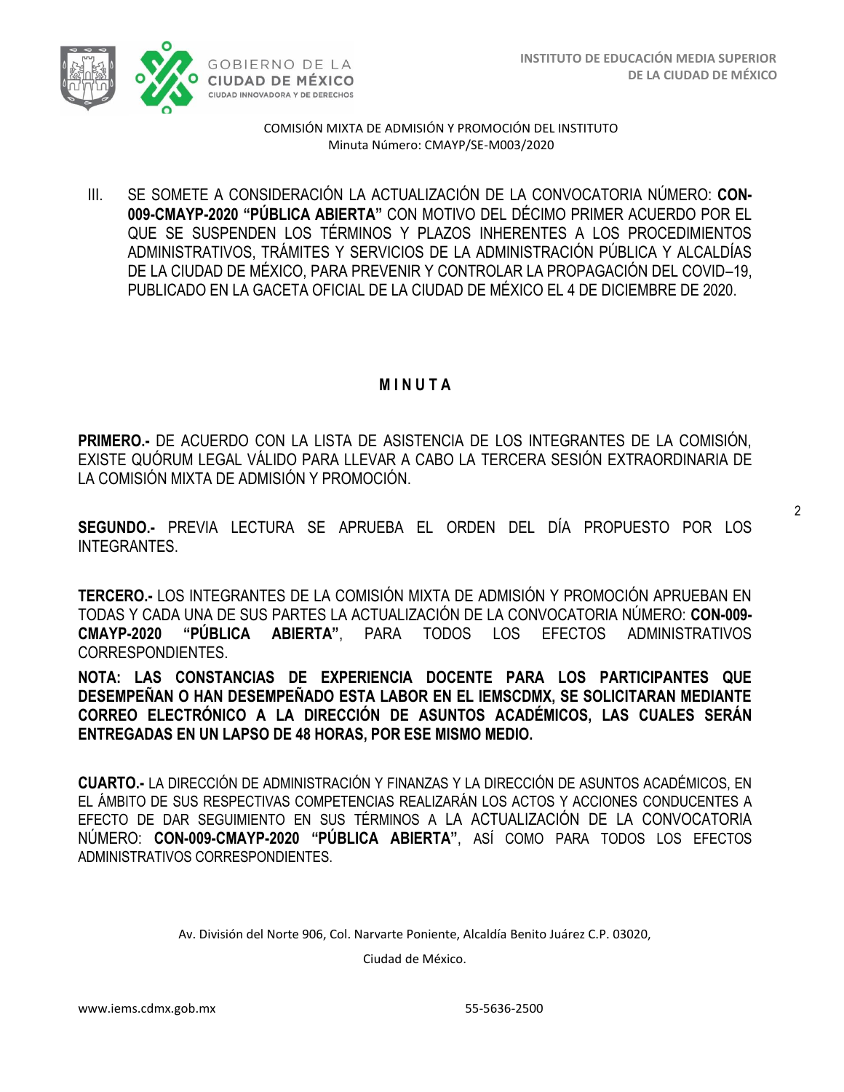

COMISIÓN MIXTA DE ADMISIÓN Y PROMOCIÓN DEL INSTITUTO Minuta Número: CMAYP/SE-M003/2020

III. SE SOMETE A CONSIDERACIÓN LA ACTUALIZACIÓN DE LA CONVOCATORIA NÚMERO: **CON-009-CMAYP-2020 "PÚBLICA ABIERTA"** CON MOTIVO DEL DÉCIMO PRIMER ACUERDO POR EL QUE SE SUSPENDEN LOS TÉRMINOS Y PLAZOS INHERENTES A LOS PROCEDIMIENTOS ADMINISTRATIVOS, TRÁMITES Y SERVICIOS DE LA ADMINISTRACIÓN PÚBLICA Y ALCALDÍAS DE LA CIUDAD DE MÉXICO, PARA PREVENIR Y CONTROLAR LA PROPAGACIÓN DEL COVID–19, PUBLICADO EN LA GACETA OFICIAL DE LA CIUDAD DE MÉXICO EL 4 DE DICIEMBRE DE 2020.

### **M I N U T A**

**PRIMERO.-** DE ACUERDO CON LA LISTA DE ASISTENCIA DE LOS INTEGRANTES DE LA COMISIÓN, EXISTE QUÓRUM LEGAL VÁLIDO PARA LLEVAR A CABO LA TERCERA SESIÓN EXTRAORDINARIA DE LA COMISIÓN MIXTA DE ADMISIÓN Y PROMOCIÓN.

**SEGUNDO.-** PREVIA LECTURA SE APRUEBA EL ORDEN DEL DÍA PROPUESTO POR LOS **INTEGRANTES** 

**TERCERO.-** LOS INTEGRANTES DE LA COMISIÓN MIXTA DE ADMISIÓN Y PROMOCIÓN APRUEBAN EN TODAS Y CADA UNA DE SUS PARTES LA ACTUALIZACIÓN DE LA CONVOCATORIA NÚMERO: **CON-009- CMAYP-2020 "PÚBLICA ABIERTA"**, PARA TODOS LOS EFECTOS ADMINISTRATIVOS CORRESPONDIENTES.

**NOTA: LAS CONSTANCIAS DE EXPERIENCIA DOCENTE PARA LOS PARTICIPANTES QUE DESEMPEÑAN O HAN DESEMPEÑADO ESTA LABOR EN EL IEMSCDMX, SE SOLICITARAN MEDIANTE CORREO ELECTRÓNICO A LA DIRECCIÓN DE ASUNTOS ACADÉMICOS, LAS CUALES SERÁN ENTREGADAS EN UN LAPSO DE 48 HORAS, POR ESE MISMO MEDIO.**

**CUARTO.-** LA DIRECCIÓN DE ADMINISTRACIÓN Y FINANZAS Y LA DIRECCIÓN DE ASUNTOS ACADÉMICOS, EN EL ÁMBITO DE SUS RESPECTIVAS COMPETENCIAS REALIZARÁN LOS ACTOS Y ACCIONES CONDUCENTES A EFECTO DE DAR SEGUIMIENTO EN SUS TÉRMINOS A LA ACTUALIZACIÓN DE LA CONVOCATORIA NÚMERO: **CON-009-CMAYP-2020 "PÚBLICA ABIERTA"**, ASÍ COMO PARA TODOS LOS EFECTOS ADMINISTRATIVOS CORRESPONDIENTES.

Av. División del Norte 906, Col. Narvarte Poniente, Alcaldía Benito Juárez C.P. 03020,

Ciudad de México.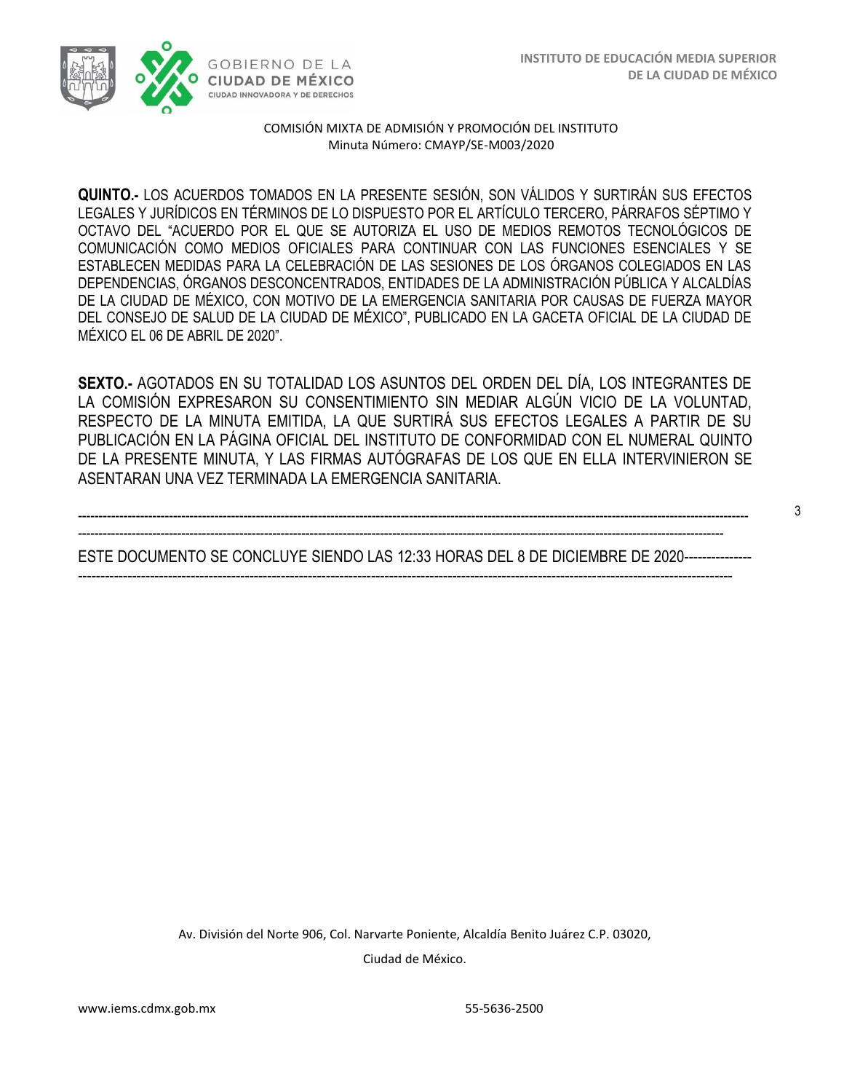3



COMISIÓN MIXTA DE ADMISIÓN Y PROMOCIÓN DEL INSTITUTO Minuta Número: CMAYP/SE-M003/2020

**QUINTO.-** LOS ACUERDOS TOMADOS EN LA PRESENTE SESIÓN, SON VÁLIDOS Y SURTIRÁN SUS EFECTOS LEGALES Y JURÍDICOS EN TÉRMINOS DE LO DISPUESTO POR EL ARTÍCULO TERCERO, PÁRRAFOS SÉPTIMO Y OCTAVO DEL "ACUERDO POR EL QUE SE AUTORIZA EL USO DE MEDIOS REMOTOS TECNOLÓGICOS DE COMUNICACIÓN COMO MEDIOS OFICIALES PARA CONTINUAR CON LAS FUNCIONES ESENCIALES Y SE ESTABLECEN MEDIDAS PARA LA CELEBRACIÓN DE LAS SESIONES DE LOS ÓRGANOS COLEGIADOS EN LAS DEPENDENCIAS, ÓRGANOS DESCONCENTRADOS, ENTIDADES DE LA ADMINISTRACIÓN PÚBLICA Y ALCALDÍAS DE LA CIUDAD DE MÉXICO, CON MOTIVO DE LA EMERGENCIA SANITARIA POR CAUSAS DE FUERZA MAYOR DEL CONSEJO DE SALUD DE LA CIUDAD DE MÉXICO", PUBLICADO EN LA GACETA OFICIAL DE LA CIUDAD DE MÉXICO EL 06 DE ABRIL DE 2020".

**SEXTO.-** AGOTADOS EN SU TOTALIDAD LOS ASUNTOS DEL ORDEN DEL DÍA, LOS INTEGRANTES DE LA COMISIÓN EXPRESARON SU CONSENTIMIENTO SIN MEDIAR ALGÚN VICIO DE LA VOLUNTAD, RESPECTO DE LA MINUTA EMITIDA, LA QUE SURTIRÁ SUS EFECTOS LEGALES A PARTIR DE SU PUBLICACIÓN EN LA PÁGINA OFICIAL DEL INSTITUTO DE CONFORMIDAD CON EL NUMERAL QUINTO DE LA PRESENTE MINUTA, Y LAS FIRMAS AUTÓGRAFAS DE LOS QUE EN ELLA INTERVINIERON SE ASENTARAN UNA VEZ TERMINADA LA EMERGENCIA SANITARIA.

------------------------------------------------------------------------------------------------------------------------------------------------------------------ ------------------------------------------------------------------------------------------------------------------------------------------------------------ ESTE DOCUMENTO SE CONCLUYE SIENDO LAS 12:33 HORAS DEL 8 DE DICIEMBRE DE 2020--------------- -------------------------------------------------------------------------------------------------------------------------------------------------

> Av. División del Norte 906, Col. Narvarte Poniente, Alcaldía Benito Juárez C.P. 03020, Ciudad de México.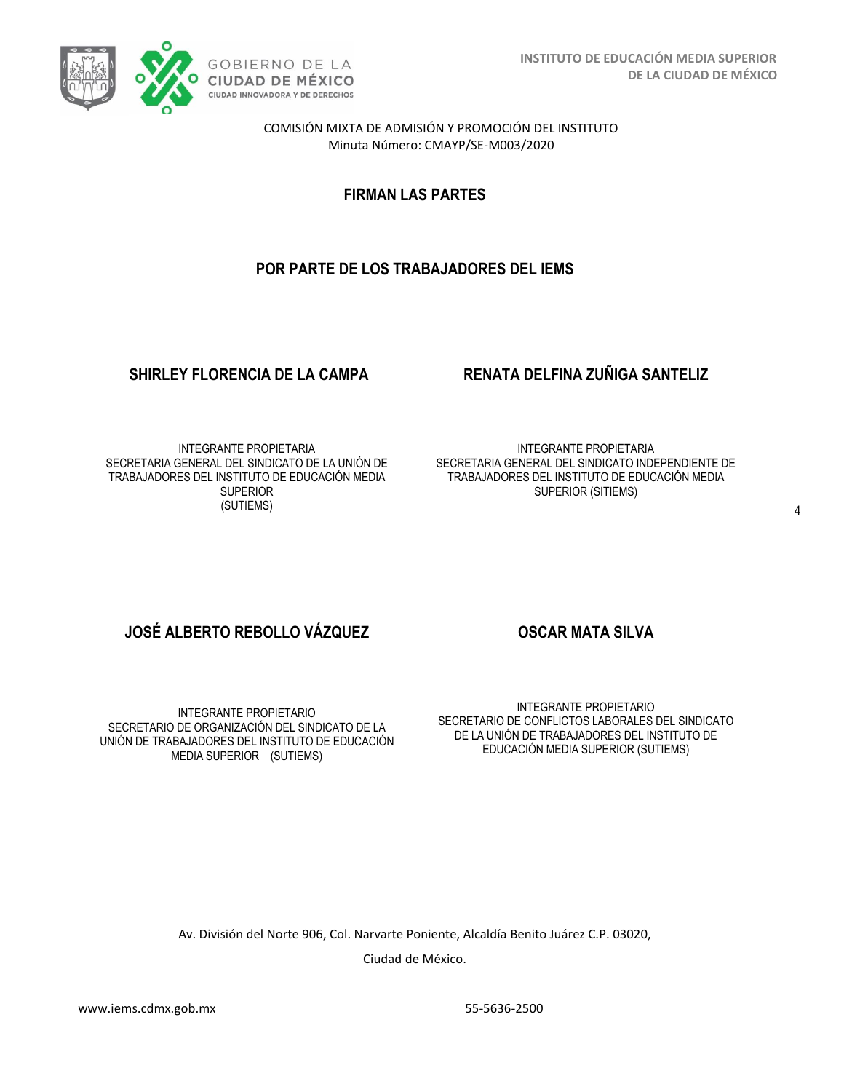

COMISIÓN MIXTA DE ADMISIÓN Y PROMOCIÓN DEL INSTITUTO Minuta Número: CMAYP/SE-M003/2020

**FIRMAN LAS PARTES**

# **POR PARTE DE LOS TRABAJADORES DEL IEMS**

### **SHIRLEY FLORENCIA DE LA CAMPA RENATA DELFINA ZUÑIGA SANTELIZ**

INTEGRANTE PROPIETARIA SECRETARIA GENERAL DEL SINDICATO DE LA UNIÓN DE TRABAJADORES DEL INSTITUTO DE EDUCACIÓN MEDIA **SUPERIOR** (SUTIEMS)

INTEGRANTE PROPIETARIA SECRETARIA GENERAL DEL SINDICATO INDEPENDIENTE DE TRABAJADORES DEL INSTITUTO DE EDUCACIÓN MEDIA SUPERIOR (SITIEMS)

# **JOSÉ ALBERTO REBOLLO VÁZQUEZ COSCAR MATA SILVA**

INTEGRANTE PROPIETARIO SECRETARIO DE ORGANIZACIÓN DEL SINDICATO DE LA UNIÓN DE TRABAJADORES DEL INSTITUTO DE EDUCACIÓN MEDIA SUPERIOR (SUTIEMS)

INTEGRANTE PROPIETARIO SECRETARIO DE CONFLICTOS LABORALES DEL SINDICATO DE LA UNIÓN DE TRABAJADORES DEL INSTITUTO DE EDUCACIÓN MEDIA SUPERIOR (SUTIEMS)

Av. División del Norte 906, Col. Narvarte Poniente, Alcaldía Benito Juárez C.P. 03020,

Ciudad de México.